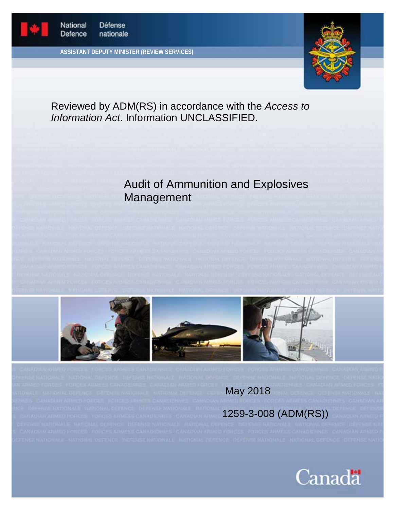

**ASSISTANT DEPUTY MINISTER (REVIEW SERVICES)**



Reviewed by ADM(RS) in accordance with the *Access to Information Act*. Information UNCLASSIFIED.

# Audit of Ammunition and Explosives Management





May 2018

# 1259-3-008 (ADM(RS))

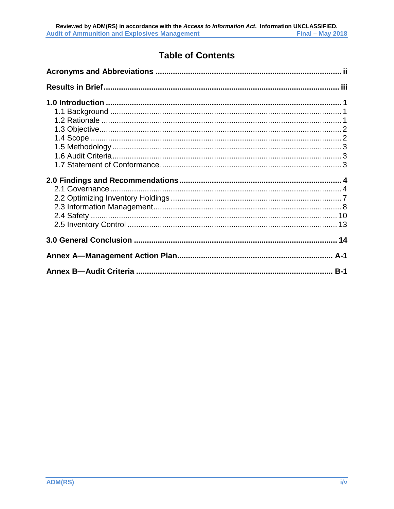# **Table of Contents**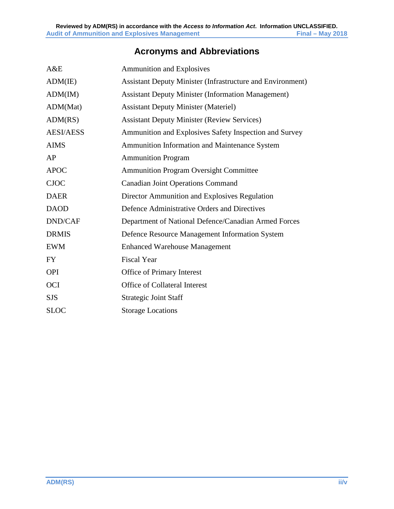# **Acronyms and Abbreviations**

<span id="page-2-0"></span>

| A&E              | <b>Ammunition and Explosives</b>                                  |  |  |
|------------------|-------------------------------------------------------------------|--|--|
| ADM(IE)          | <b>Assistant Deputy Minister (Infrastructure and Environment)</b> |  |  |
| ADM(IM)          | <b>Assistant Deputy Minister (Information Management)</b>         |  |  |
| ADM(Mat)         | <b>Assistant Deputy Minister (Materiel)</b>                       |  |  |
| ADM(RS)          | <b>Assistant Deputy Minister (Review Services)</b>                |  |  |
| <b>AESI/AESS</b> | Ammunition and Explosives Safety Inspection and Survey            |  |  |
| <b>AIMS</b>      | Ammunition Information and Maintenance System                     |  |  |
| AP               | <b>Ammunition Program</b>                                         |  |  |
| <b>APOC</b>      | <b>Ammunition Program Oversight Committee</b>                     |  |  |
| <b>CJOC</b>      | <b>Canadian Joint Operations Command</b>                          |  |  |
| <b>DAER</b>      | Director Ammunition and Explosives Regulation                     |  |  |
| <b>DAOD</b>      | Defence Administrative Orders and Directives                      |  |  |
| <b>DND/CAF</b>   | Department of National Defence/Canadian Armed Forces              |  |  |
| <b>DRMIS</b>     | Defence Resource Management Information System                    |  |  |
| <b>EWM</b>       | <b>Enhanced Warehouse Management</b>                              |  |  |
| <b>FY</b>        | <b>Fiscal Year</b>                                                |  |  |
| <b>OPI</b>       | Office of Primary Interest                                        |  |  |
| OCI              | Office of Collateral Interest                                     |  |  |
| <b>SJS</b>       | <b>Strategic Joint Staff</b>                                      |  |  |
| <b>SLOC</b>      | <b>Storage Locations</b>                                          |  |  |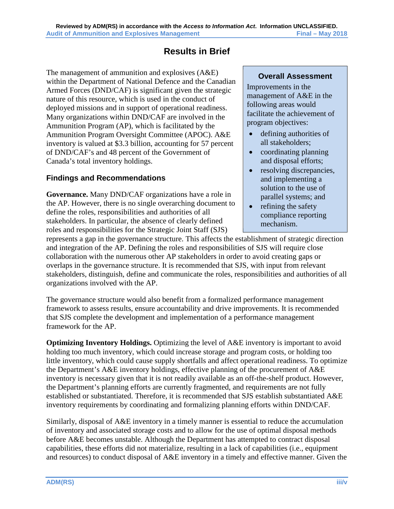# **Results in Brief**

<span id="page-3-0"></span>The management of ammunition and explosives (A&E) within the Department of National Defence and the Canadian Armed Forces (DND/CAF) is significant given the strategic nature of this resource, which is used in the conduct of deployed missions and in support of operational readiness. Many organizations within DND/CAF are involved in the Ammunition Program (AP), which is facilitated by the Ammunition Program Oversight Committee (APOC). A&E inventory is valued at \$3.3 billion, accounting for 57 percent of DND/CAF's and 48 percent of the Government of Canada's total inventory holdings.

## **Findings and Recommendations**

**Governance.** Many DND/CAF organizations have a role in the AP. However, there is no single overarching document to define the roles, responsibilities and authorities of all stakeholders. In particular, the absence of clearly defined roles and responsibilities for the Strategic Joint Staff (SJS)

### **Overall Assessment**

Improvements in the management of A&E in the following areas would facilitate the achievement of program objectives:

- defining authorities of all stakeholders;
- coordinating planning and disposal efforts;
- resolving discrepancies, and implementing a solution to the use of parallel systems; and
- refining the safety compliance reporting mechanism.

represents a gap in the governance structure. This affects the establishment of strategic direction and integration of the AP. Defining the roles and responsibilities of SJS will require close collaboration with the numerous other AP stakeholders in order to avoid creating gaps or overlaps in the governance structure. It is recommended that SJS, with input from relevant stakeholders, distinguish, define and communicate the roles, responsibilities and authorities of all organizations involved with the AP.

The governance structure would also benefit from a formalized performance management framework to assess results, ensure accountability and drive improvements. It is recommended that SJS complete the development and implementation of a performance management framework for the AP.

**Optimizing Inventory Holdings.** Optimizing the level of A&E inventory is important to avoid holding too much inventory, which could increase storage and program costs, or holding too little inventory, which could cause supply shortfalls and affect operational readiness. To optimize the Department's A&E inventory holdings, effective planning of the procurement of A&E inventory is necessary given that it is not readily available as an off-the-shelf product. However, the Department's planning efforts are currently fragmented, and requirements are not fully established or substantiated. Therefore, it is recommended that SJS establish substantiated A&E inventory requirements by coordinating and formalizing planning efforts within DND/CAF.

Similarly, disposal of A&E inventory in a timely manner is essential to reduce the accumulation of inventory and associated storage costs and to allow for the use of optimal disposal methods before A&E becomes unstable. Although the Department has attempted to contract disposal capabilities, these efforts did not materialize, resulting in a lack of capabilities (i.e., equipment and resources) to conduct disposal of A&E inventory in a timely and effective manner. Given the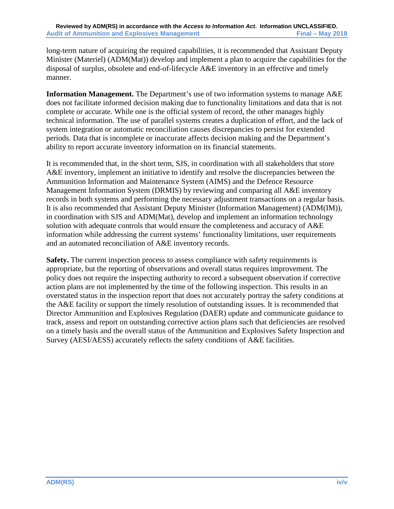long-term nature of acquiring the required capabilities, it is recommended that Assistant Deputy Minister (Materiel) (ADM(Mat)) develop and implement a plan to acquire the capabilities for the disposal of surplus, obsolete and end-of-lifecycle A&E inventory in an effective and timely manner.

**Information Management.** The Department's use of two information systems to manage A&E does not facilitate informed decision making due to functionality limitations and data that is not complete or accurate. While one is the official system of record, the other manages highly technical information. The use of parallel systems creates a duplication of effort, and the lack of system integration or automatic reconciliation causes discrepancies to persist for extended periods. Data that is incomplete or inaccurate affects decision making and the Department's ability to report accurate inventory information on its financial statements.

It is recommended that, in the short term, SJS, in coordination with all stakeholders that store A&E inventory, implement an initiative to identify and resolve the discrepancies between the Ammunition Information and Maintenance System (AIMS) and the Defence Resource Management Information System (DRMIS) by reviewing and comparing all A&E inventory records in both systems and performing the necessary adjustment transactions on a regular basis. It is also recommended that Assistant Deputy Minister (Information Management) (ADM(IM)), in coordination with SJS and ADM(Mat), develop and implement an information technology solution with adequate controls that would ensure the completeness and accuracy of A&E information while addressing the current systems' functionality limitations, user requirements and an automated reconciliation of A&E inventory records.

**Safety.** The current inspection process to assess compliance with safety requirements is appropriate, but the reporting of observations and overall status requires improvement. The policy does not require the inspecting authority to record a subsequent observation if corrective action plans are not implemented by the time of the following inspection. This results in an overstated status in the inspection report that does not accurately portray the safety conditions at the A&E facility or support the timely resolution of outstanding issues. It is recommended that Director Ammunition and Explosives Regulation (DAER) update and communicate guidance to track, assess and report on outstanding corrective action plans such that deficiencies are resolved on a timely basis and the overall status of the Ammunition and Explosives Safety Inspection and Survey (AESI/AESS) accurately reflects the safety conditions of A&E facilities.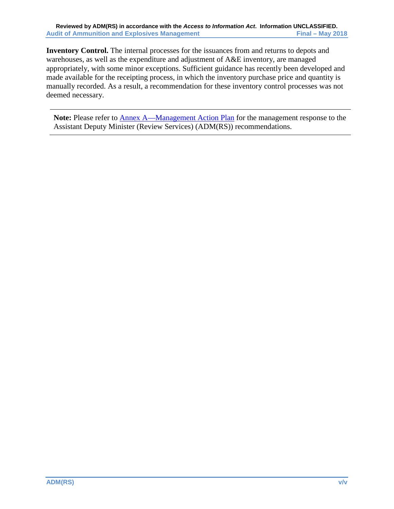**Inventory Control.** The internal processes for the issuances from and returns to depots and warehouses, as well as the expenditure and adjustment of A&E inventory, are managed appropriately, with some minor exceptions. Sufficient guidance has recently been developed and made available for the receipting process, in which the inventory purchase price and quantity is manually recorded. As a result, a recommendation for these inventory control processes was not deemed necessary.

**Note:** Please refer to [Annex A—Management Action Plan](#page-20-0) for the management response to the Assistant Deputy Minister (Review Services) (ADM(RS)) recommendations.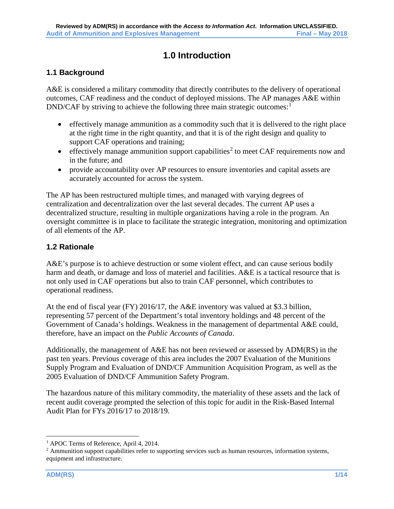# **1.0 Introduction**

# <span id="page-6-1"></span><span id="page-6-0"></span>**1.1 Background**

A&E is considered a military commodity that directly contributes to the delivery of operational outcomes, CAF readiness and the conduct of deployed missions. The AP manages A&E within  $DND/CAF$  by striving to achieve the following three main strategic outcomes:<sup>[1](#page-6-3)</sup>

- effectively manage ammunition as a commodity such that it is delivered to the right place at the right time in the right quantity, and that it is of the right design and quality to support CAF operations and training;
- effectively manage ammunition support capabilities<sup>[2](#page-6-4)</sup> to meet CAF requirements now and in the future; and
- provide accountability over AP resources to ensure inventories and capital assets are accurately accounted for across the system.

The AP has been restructured multiple times, and managed with varying degrees of centralization and decentralization over the last several decades. The current AP uses a decentralized structure, resulting in multiple organizations having a role in the program. An oversight committee is in place to facilitate the strategic integration, monitoring and optimization of all elements of the AP.

### <span id="page-6-2"></span>**1.2 Rationale**

A&E's purpose is to achieve destruction or some violent effect, and can cause serious bodily harm and death, or damage and loss of materiel and facilities. A&E is a tactical resource that is not only used in CAF operations but also to train CAF personnel, which contributes to operational readiness.

At the end of fiscal year (FY) 2016/17, the A&E inventory was valued at \$3.3 billion, representing 57 percent of the Department's total inventory holdings and 48 percent of the Government of Canada's holdings. Weakness in the management of departmental A&E could, therefore, have an impact on the *Public Accounts of Canada*.

Additionally, the management of A&E has not been reviewed or assessed by ADM(RS) in the past ten years. Previous coverage of this area includes the 2007 Evaluation of the Munitions Supply Program and Evaluation of DND/CF Ammunition Acquisition Program, as well as the 2005 Evaluation of DND/CF Ammunition Safety Program.

The hazardous nature of this military commodity, the materiality of these assets and the lack of recent audit coverage prompted the selection of this topic for audit in the Risk-Based Internal Audit Plan for FYs 2016/17 to 2018/19.

<span id="page-6-3"></span><sup>&</sup>lt;sup>1</sup> APOC Terms of Reference, April 4, 2014.

<span id="page-6-4"></span><sup>&</sup>lt;sup>2</sup> Ammunition support capabilities refer to supporting services such as human resources, information systems, equipment and infrastructure.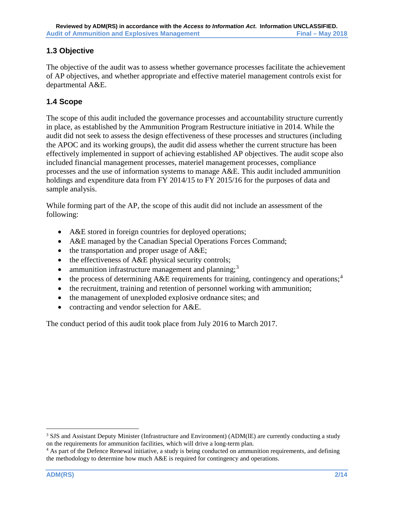# <span id="page-7-0"></span>**1.3 Objective**

The objective of the audit was to assess whether governance processes facilitate the achievement of AP objectives, and whether appropriate and effective materiel management controls exist for departmental A&E.

# <span id="page-7-1"></span>**1.4 Scope**

The scope of this audit included the governance processes and accountability structure currently in place, as established by the Ammunition Program Restructure initiative in 2014. While the audit did not seek to assess the design effectiveness of these processes and structures (including the APOC and its working groups), the audit did assess whether the current structure has been effectively implemented in support of achieving established AP objectives. The audit scope also included financial management processes, materiel management processes, compliance processes and the use of information systems to manage A&E. This audit included ammunition holdings and expenditure data from FY 2014/15 to FY 2015/16 for the purposes of data and sample analysis.

While forming part of the AP, the scope of this audit did not include an assessment of the following:

- A&E stored in foreign countries for deployed operations;
- A&E managed by the Canadian Special Operations Forces Command;
- the transportation and proper usage of A&E;
- the effectiveness of A&E physical security controls;
- ammunition infrastructure management and planning; $3$
- the process of determining  $A \& E$  requirements for training, contingency and operations;<sup>[4](#page-7-3)</sup>
- the recruitment, training and retention of personnel working with ammunition;
- the management of unexploded explosive ordnance sites; and
- contracting and vendor selection for A&E.

The conduct period of this audit took place from July 2016 to March 2017.

<span id="page-7-2"></span><sup>&</sup>lt;sup>3</sup> SJS and Assistant Deputy Minister (Infrastructure and Environment) (ADM(IE) are currently conducting a study on the requirements for ammunition facilities, which will drive a long-term plan.

<span id="page-7-3"></span><sup>&</sup>lt;sup>4</sup> As part of the Defence Renewal initiative, a study is being conducted on ammunition requirements, and defining the methodology to determine how much A&E is required for contingency and operations.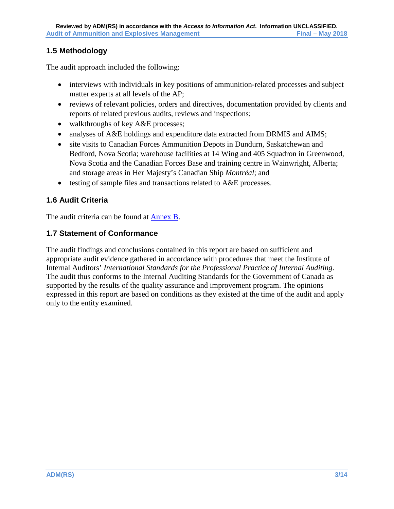# <span id="page-8-0"></span>**1.5 Methodology**

The audit approach included the following:

- interviews with individuals in key positions of ammunition-related processes and subject matter experts at all levels of the AP;
- reviews of relevant policies, orders and directives, documentation provided by clients and reports of related previous audits, reviews and inspections;
- walkthroughs of key A&E processes;
- analyses of A&E holdings and expenditure data extracted from DRMIS and AIMS;
- site visits to Canadian Forces Ammunition Depots in Dundurn, Saskatchewan and Bedford, Nova Scotia; warehouse facilities at 14 Wing and 405 Squadron in Greenwood, Nova Scotia and the Canadian Forces Base and training centre in Wainwright, Alberta; and storage areas in Her Majesty's Canadian Ship *Montréal*; and
- testing of sample files and transactions related to A&E processes.

# <span id="page-8-1"></span>**1.6 Audit Criteria**

The audit criteria can be found at [Annex B.](#page-20-0)

# <span id="page-8-2"></span>**1.7 Statement of Conformance**

The audit findings and conclusions contained in this report are based on sufficient and appropriate audit evidence gathered in accordance with procedures that meet the Institute of Internal Auditors' *International Standards for the Professional Practice of Internal Auditing*. The audit thus conforms to the Internal Auditing Standards for the Government of Canada as supported by the results of the quality assurance and improvement program. The opinions expressed in this report are based on conditions as they existed at the time of the audit and apply only to the entity examined.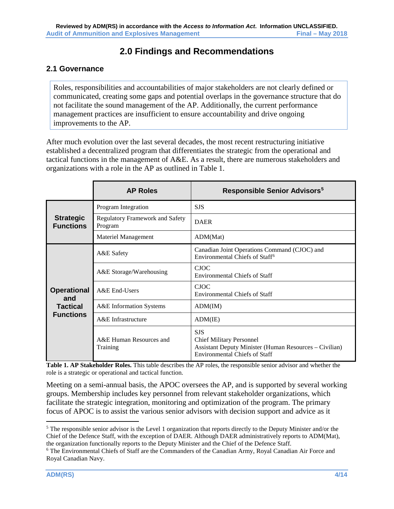# **2.0 Findings and Recommendations**

# <span id="page-9-1"></span><span id="page-9-0"></span>**2.1 Governance**

Roles, responsibilities and accountabilities of major stakeholders are not clearly defined or communicated, creating some gaps and potential overlaps in the governance structure that do not facilitate the sound management of the AP. Additionally, the current performance management practices are insufficient to ensure accountability and drive ongoing improvements to the AP.

After much evolution over the last several decades, the most recent restructuring initiative established a decentralized program that differentiates the strategic from the operational and tactical functions in the management of A&E. As a result, there are numerous stakeholders and organizations with a role in the AP as outlined in Table 1.

|                                                                  | <b>AP Roles</b>                                   | <b>Responsible Senior Advisors<sup>5</sup></b>                                                                                                         |
|------------------------------------------------------------------|---------------------------------------------------|--------------------------------------------------------------------------------------------------------------------------------------------------------|
| <b>Strategic</b><br><b>Functions</b>                             | Program Integration                               | <b>SJS</b>                                                                                                                                             |
|                                                                  | <b>Regulatory Framework and Safety</b><br>Program | <b>DAER</b>                                                                                                                                            |
|                                                                  | Materiel Management                               | ADM(Mat)                                                                                                                                               |
| <b>Operational</b><br>and<br><b>Tactical</b><br><b>Functions</b> | A&E Safety                                        | Canadian Joint Operations Command (CJOC) and<br>Environmental Chiefs of Staff <sup>6</sup>                                                             |
|                                                                  | A&E Storage/Warehousing                           | <b>CJOC</b><br><b>Environmental Chiefs of Staff</b>                                                                                                    |
|                                                                  | A&E End-Users                                     | <b>CJOC</b><br><b>Environmental Chiefs of Staff</b>                                                                                                    |
|                                                                  | A&E Information Systems                           | ADM(IM)                                                                                                                                                |
|                                                                  | A&E Infrastructure                                | ADM(IE)                                                                                                                                                |
|                                                                  | A&E Human Resources and<br>Training               | <b>SJS</b><br><b>Chief Military Personnel</b><br><b>Assistant Deputy Minister (Human Resources – Civilian)</b><br><b>Environmental Chiefs of Staff</b> |

**Table 1. AP Stakeholder Roles.** This table describes the AP roles, the responsible senior advisor and whether the role is a strategic or operational and tactical function.

Meeting on a semi-annual basis, the APOC oversees the AP, and is supported by several working groups. Membership includes key personnel from relevant stakeholder organizations, which facilitate the strategic integration, monitoring and optimization of the program. The primary focus of APOC is to assist the various senior advisors with decision support and advice as it

<span id="page-9-2"></span><sup>&</sup>lt;sup>5</sup> The responsible senior advisor is the Level 1 organization that reports directly to the Deputy Minister and/or the Chief of the Defence Staff, with the exception of DAER. Although DAER administratively reports to ADM(Mat), the organization functionally reports to the Deputy Minister and the Chief of the Defence Staff. 6 The Environmental Chiefs of Staff are the Commanders of the Canadian Army, Royal Canadian Air Force and

<span id="page-9-3"></span>Royal Canadian Navy.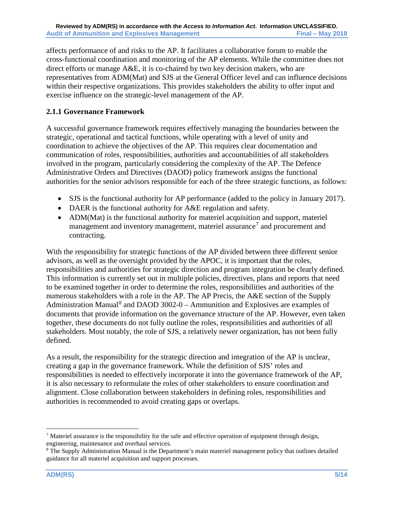affects performance of and risks to the AP. It facilitates a collaborative forum to enable the cross-functional coordination and monitoring of the AP elements. While the committee does not direct efforts or manage A&E, it is co-chaired by two key decision makers, who are representatives from ADM(Mat) and SJS at the General Officer level and can influence decisions within their respective organizations. This provides stakeholders the ability to offer input and exercise influence on the strategic-level management of the AP.

# **2.1.1 Governance Framework**

A successful governance framework requires effectively managing the boundaries between the strategic, operational and tactical functions, while operating with a level of unity and coordination to achieve the objectives of the AP. This requires clear documentation and communication of roles, responsibilities, authorities and accountabilities of all stakeholders involved in the program, particularly considering the complexity of the AP. The Defence Administrative Orders and Directives (DAOD) policy framework assigns the functional authorities for the senior advisors responsible for each of the three strategic functions, as follows:

- SJS is the functional authority for AP performance (added to the policy in January 2017).
- DAER is the functional authority for A&E regulation and safety.
- ADM(Mat) is the functional authority for materiel acquisition and support, materiel management and inventory management, materiel assurance<sup>[7](#page-10-0)</sup> and procurement and contracting.

With the responsibility for strategic functions of the AP divided between three different senior advisors, as well as the oversight provided by the APOC, it is important that the roles, responsibilities and authorities for strategic direction and program integration be clearly defined. This information is currently set out in multiple policies, directives, plans and reports that need to be examined together in order to determine the roles, responsibilities and authorities of the numerous stakeholders with a role in the AP. The AP Precis, the A&E section of the Supply Administration Manual<sup>[8](#page-10-1)</sup> and DAOD 3002-0 – Ammunition and Explosives are examples of documents that provide information on the governance structure of the AP. However, even taken together, these documents do not fully outline the roles, responsibilities and authorities of all stakeholders. Most notably, the role of SJS, a relatively newer organization, has not been fully defined.

As a result, the responsibility for the strategic direction and integration of the AP is unclear, creating a gap in the governance framework. While the definition of SJS' roles and responsibilities is needed to effectively incorporate it into the governance framework of the AP, it is also necessary to reformulate the roles of other stakeholders to ensure coordination and alignment. Close collaboration between stakeholders in defining roles, responsibilities and authorities is recommended to avoid creating gaps or overlaps.

<span id="page-10-0"></span><sup>&</sup>lt;sup>7</sup> Materiel assurance is the responsibility for the safe and effective operation of equipment through design, engineering, maintenance and overhaul services.

<span id="page-10-1"></span><sup>8</sup> The Supply Administration Manual is the Department's main materiel management policy that outlines detailed guidance for all materiel acquisition and support processes.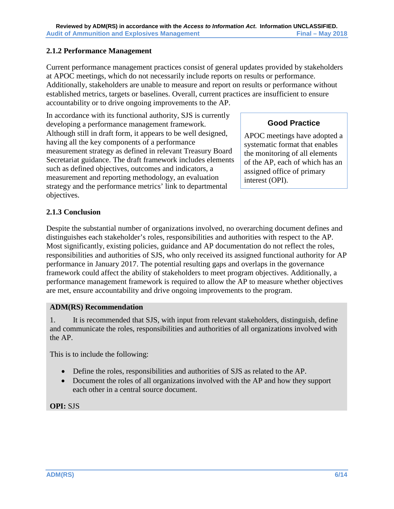### **2.1.2 Performance Management**

Current performance management practices consist of general updates provided by stakeholders at APOC meetings, which do not necessarily include reports on results or performance. Additionally, stakeholders are unable to measure and report on results or performance without established metrics, targets or baselines. Overall, current practices are insufficient to ensure accountability or to drive ongoing improvements to the AP.

In accordance with its functional authority, SJS is currently developing a performance management framework. Although still in draft form, it appears to be well designed, having all the key components of a performance measurement strategy as defined in relevant Treasury Board Secretariat guidance. The draft framework includes elements such as defined objectives, outcomes and indicators, a measurement and reporting methodology, an evaluation strategy and the performance metrics' link to departmental objectives.

# **Good Practice**

APOC meetings have adopted a systematic format that enables the monitoring of all elements of the AP, each of which has an assigned office of primary interest (OPI).

# **2.1.3 Conclusion**

Despite the substantial number of organizations involved, no overarching document defines and distinguishes each stakeholder's roles, responsibilities and authorities with respect to the AP. Most significantly, existing policies, guidance and AP documentation do not reflect the roles, responsibilities and authorities of SJS, who only received its assigned functional authority for AP performance in January 2017. The potential resulting gaps and overlaps in the governance framework could affect the ability of stakeholders to meet program objectives. Additionally, a performance management framework is required to allow the AP to measure whether objectives are met, ensure accountability and drive ongoing improvements to the program.

### **ADM(RS) Recommendation**

1. It is recommended that SJS, with input from relevant stakeholders, distinguish, define and communicate the roles, responsibilities and authorities of all organizations involved with the AP.

This is to include the following:

- Define the roles, responsibilities and authorities of SJS as related to the AP.
- Document the roles of all organizations involved with the AP and how they support each other in a central source document.

### **OPI:** SJS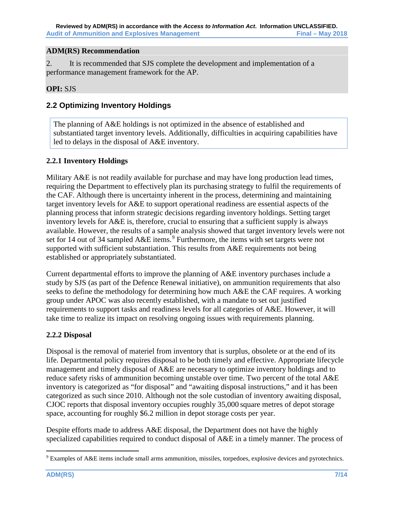### **ADM(RS) Recommendation**

2. It is recommended that SJS complete the development and implementation of a performance management framework for the AP.

### **OPI:** SJS

# <span id="page-12-0"></span>**2.2 Optimizing Inventory Holdings**

The planning of A&E holdings is not optimized in the absence of established and substantiated target inventory levels. Additionally, difficulties in acquiring capabilities have led to delays in the disposal of A&E inventory.

### **2.2.1 Inventory Holdings**

Military A&E is not readily available for purchase and may have long production lead times, requiring the Department to effectively plan its purchasing strategy to fulfil the requirements of the CAF. Although there is uncertainty inherent in the process, determining and maintaining target inventory levels for A&E to support operational readiness are essential aspects of the planning process that inform strategic decisions regarding inventory holdings. Setting target inventory levels for A&E is, therefore, crucial to ensuring that a sufficient supply is always available. However, the results of a sample analysis showed that target inventory levels were not set for 14 out of 34 sampled  $A\&E$  items.<sup>[9](#page-12-1)</sup> Furthermore, the items with set targets were not supported with sufficient substantiation. This results from A&E requirements not being established or appropriately substantiated.

Current departmental efforts to improve the planning of A&E inventory purchases include a study by SJS (as part of the Defence Renewal initiative), on ammunition requirements that also seeks to define the methodology for determining how much A&E the CAF requires. A working group under APOC was also recently established, with a mandate to set out justified requirements to support tasks and readiness levels for all categories of A&E. However, it will take time to realize its impact on resolving ongoing issues with requirements planning.

### **2.2.2 Disposal**

Disposal is the removal of materiel from inventory that is surplus, obsolete or at the end of its life. Departmental policy requires disposal to be both timely and effective. Appropriate lifecycle management and timely disposal of A&E are necessary to optimize inventory holdings and to reduce safety risks of ammunition becoming unstable over time. Two percent of the total A&E inventory is categorized as "for disposal" and "awaiting disposal instructions," and it has been categorized as such since 2010. Although not the sole custodian of inventory awaiting disposal, CJOC reports that disposal inventory occupies roughly 35,000 square metres of depot storage space, accounting for roughly \$6.2 million in depot storage costs per year.

Despite efforts made to address A&E disposal, the Department does not have the highly specialized capabilities required to conduct disposal of A&E in a timely manner. The process of

<span id="page-12-1"></span> <sup>9</sup> Examples of A&E items include small arms ammunition, missiles, torpedoes, explosive devices and pyrotechnics.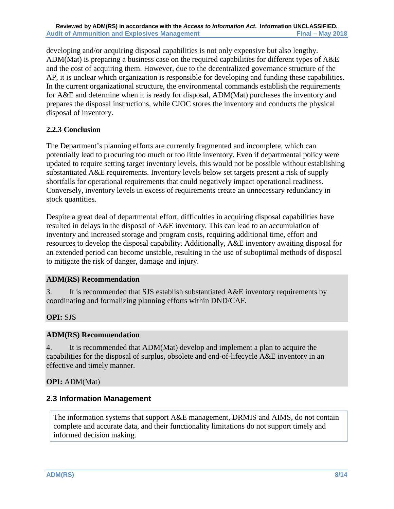developing and/or acquiring disposal capabilities is not only expensive but also lengthy. ADM(Mat) is preparing a business case on the required capabilities for different types of A&E and the cost of acquiring them. However, due to the decentralized governance structure of the AP, it is unclear which organization is responsible for developing and funding these capabilities. In the current organizational structure, the environmental commands establish the requirements for A&E and determine when it is ready for disposal, ADM(Mat) purchases the inventory and prepares the disposal instructions, while CJOC stores the inventory and conducts the physical disposal of inventory.

### **2.2.3 Conclusion**

The Department's planning efforts are currently fragmented and incomplete, which can potentially lead to procuring too much or too little inventory. Even if departmental policy were updated to require setting target inventory levels, this would not be possible without establishing substantiated A&E requirements. Inventory levels below set targets present a risk of supply shortfalls for operational requirements that could negatively impact operational readiness. Conversely, inventory levels in excess of requirements create an unnecessary redundancy in stock quantities.

Despite a great deal of departmental effort, difficulties in acquiring disposal capabilities have resulted in delays in the disposal of A&E inventory. This can lead to an accumulation of inventory and increased storage and program costs, requiring additional time, effort and resources to develop the disposal capability. Additionally, A&E inventory awaiting disposal for an extended period can become unstable, resulting in the use of suboptimal methods of disposal to mitigate the risk of danger, damage and injury.

### **ADM(RS) Recommendation**

3. It is recommended that SJS establish substantiated A&E inventory requirements by coordinating and formalizing planning efforts within DND/CAF.

# **OPI:** SJS

### **ADM(RS) Recommendation**

4. It is recommended that ADM(Mat) develop and implement a plan to acquire the capabilities for the disposal of surplus, obsolete and end-of-lifecycle A&E inventory in an effective and timely manner.

### **OPI:** ADM(Mat)

# <span id="page-13-0"></span>**2.3 Information Management**

The information systems that support A&E management, DRMIS and AIMS, do not contain complete and accurate data, and their functionality limitations do not support timely and informed decision making.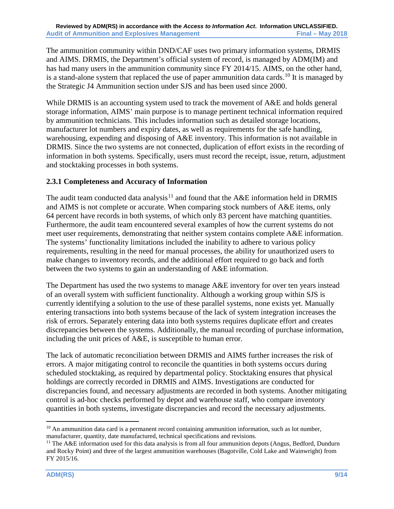The ammunition community within DND/CAF uses two primary information systems, DRMIS and AIMS. DRMIS, the Department's official system of record, is managed by ADM(IM) and has had many users in the ammunition community since FY 2014/15. AIMS, on the other hand, is a stand-alone system that replaced the use of paper ammunition data cards.<sup>[10](#page-14-0)</sup> It is managed by the Strategic J4 Ammunition section under SJS and has been used since 2000.

While DRMIS is an accounting system used to track the movement of  $A&E$  and holds general storage information, AIMS' main purpose is to manage pertinent technical information required by ammunition technicians. This includes information such as detailed storage locations, manufacturer lot numbers and expiry dates, as well as requirements for the safe handling, warehousing, expending and disposing of A&E inventory. This information is not available in DRMIS. Since the two systems are not connected, duplication of effort exists in the recording of information in both systems. Specifically, users must record the receipt, issue, return, adjustment and stocktaking processes in both systems.

### **2.3.1 Completeness and Accuracy of Information**

The audit team conducted data analysis<sup>[11](#page-14-1)</sup> and found that the  $A&E$  information held in DRMIS and AIMS is not complete or accurate. When comparing stock numbers of A&E items, only 64 percent have records in both systems, of which only 83 percent have matching quantities. Furthermore, the audit team encountered several examples of how the current systems do not meet user requirements, demonstrating that neither system contains complete A&E information. The systems' functionality limitations included the inability to adhere to various policy requirements, resulting in the need for manual processes, the ability for unauthorized users to make changes to inventory records, and the additional effort required to go back and forth between the two systems to gain an understanding of A&E information.

The Department has used the two systems to manage A&E inventory for over ten years instead of an overall system with sufficient functionality. Although a working group within SJS is currently identifying a solution to the use of these parallel systems, none exists yet. Manually entering transactions into both systems because of the lack of system integration increases the risk of errors. Separately entering data into both systems requires duplicate effort and creates discrepancies between the systems. Additionally, the manual recording of purchase information, including the unit prices of A&E, is susceptible to human error.

The lack of automatic reconciliation between DRMIS and AIMS further increases the risk of errors. A major mitigating control to reconcile the quantities in both systems occurs during scheduled stocktaking, as required by departmental policy. Stocktaking ensures that physical holdings are correctly recorded in DRMIS and AIMS. Investigations are conducted for discrepancies found, and necessary adjustments are recorded in both systems. Another mitigating control is ad-hoc checks performed by depot and warehouse staff, who compare inventory quantities in both systems, investigate discrepancies and record the necessary adjustments.

<span id="page-14-0"></span> $10$  An ammunition data card is a permanent record containing ammunition information, such as lot number, manufacturer, quantity, date manufactured, technical specifications and revisions.

<span id="page-14-1"></span><sup>&</sup>lt;sup>11</sup> The A&E information used for this data analysis is from all four ammunition depots (Angus, Bedford, Dundurn and Rocky Point) and three of the largest ammunition warehouses (Bagotville, Cold Lake and Wainwright) from FY 2015/16.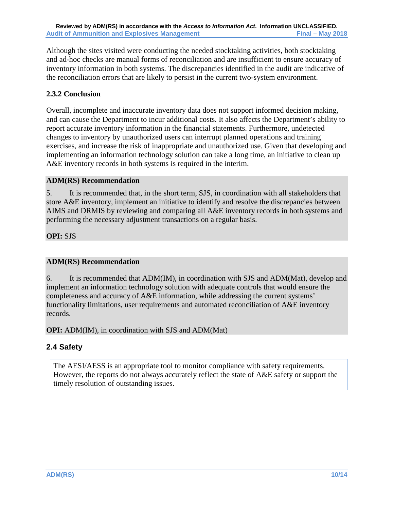Although the sites visited were conducting the needed stocktaking activities, both stocktaking and ad-hoc checks are manual forms of reconciliation and are insufficient to ensure accuracy of inventory information in both systems. The discrepancies identified in the audit are indicative of the reconciliation errors that are likely to persist in the current two-system environment.

# **2.3.2 Conclusion**

Overall, incomplete and inaccurate inventory data does not support informed decision making, and can cause the Department to incur additional costs. It also affects the Department's ability to report accurate inventory information in the financial statements. Furthermore, undetected changes to inventory by unauthorized users can interrupt planned operations and training exercises, and increase the risk of inappropriate and unauthorized use. Given that developing and implementing an information technology solution can take a long time, an initiative to clean up A&E inventory records in both systems is required in the interim.

## **ADM(RS) Recommendation**

5. It is recommended that, in the short term, SJS, in coordination with all stakeholders that store A&E inventory, implement an initiative to identify and resolve the discrepancies between AIMS and DRMIS by reviewing and comparing all A&E inventory records in both systems and performing the necessary adjustment transactions on a regular basis.

## **OPI:** SJS

# **ADM(RS) Recommendation**

6. It is recommended that ADM(IM), in coordination with SJS and ADM(Mat), develop and implement an information technology solution with adequate controls that would ensure the completeness and accuracy of A&E information, while addressing the current systems' functionality limitations, user requirements and automated reconciliation of A&E inventory records.

**OPI:** ADM(IM), in coordination with SJS and ADM(Mat)

# <span id="page-15-0"></span>**2.4 Safety**

The AESI/AESS is an appropriate tool to monitor compliance with safety requirements. However, the reports do not always accurately reflect the state of A&E safety or support the timely resolution of outstanding issues.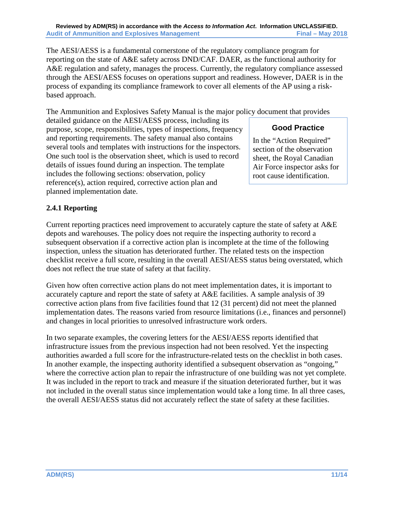The AESI/AESS is a fundamental cornerstone of the regulatory compliance program for reporting on the state of A&E safety across DND/CAF. DAER, as the functional authority for A&E regulation and safety, manages the process. Currently, the regulatory compliance assessed through the AESI/AESS focuses on operations support and readiness. However, DAER is in the process of expanding its compliance framework to cover all elements of the AP using a riskbased approach.

The Ammunition and Explosives Safety Manual is the major policy document that provides

# **Good Practice**

purpose, scope, responsibilities, types of inspections, frequency and reporting requirements. The safety manual also contains several tools and templates with instructions for the inspectors. One such tool is the observation sheet, which is used to record details of issues found during an inspection. The template includes the following sections: observation, policy reference(s), action required, corrective action plan and planned implementation date.

detailed guidance on the AESI/AESS process, including its

In the "Action Required" section of the observation sheet, the Royal Canadian Air Force inspector asks for root cause identification.

# **2.4.1 Reporting**

Current reporting practices need improvement to accurately capture the state of safety at A&E depots and warehouses. The policy does not require the inspecting authority to record a subsequent observation if a corrective action plan is incomplete at the time of the following inspection, unless the situation has deteriorated further. The related tests on the inspection checklist receive a full score, resulting in the overall AESI/AESS status being overstated, which does not reflect the true state of safety at that facility.

Given how often corrective action plans do not meet implementation dates, it is important to accurately capture and report the state of safety at A&E facilities. A sample analysis of 39 corrective action plans from five facilities found that 12 (31 percent) did not meet the planned implementation dates. The reasons varied from resource limitations (i.e., finances and personnel) and changes in local priorities to unresolved infrastructure work orders.

In two separate examples, the covering letters for the AESI/AESS reports identified that infrastructure issues from the previous inspection had not been resolved. Yet the inspecting authorities awarded a full score for the infrastructure-related tests on the checklist in both cases. In another example, the inspecting authority identified a subsequent observation as "ongoing," where the corrective action plan to repair the infrastructure of one building was not yet complete. It was included in the report to track and measure if the situation deteriorated further, but it was not included in the overall status since implementation would take a long time. In all three cases, the overall AESI/AESS status did not accurately reflect the state of safety at these facilities.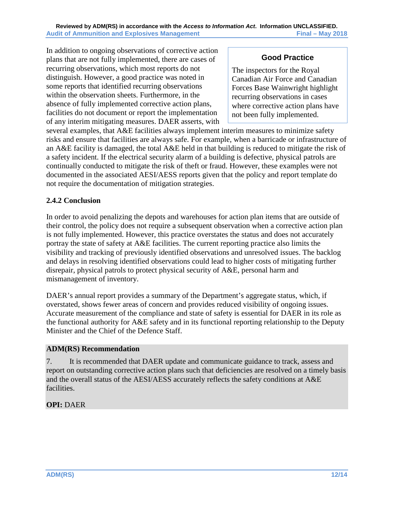In addition to ongoing observations of corrective action plans that are not fully implemented, there are cases of recurring observations, which most reports do not distinguish. However, a good practice was noted in some reports that identified recurring observations within the observation sheets. Furthermore, in the absence of fully implemented corrective action plans, facilities do not document or report the implementation of any interim mitigating measures. DAER asserts, with

# **Good Practice**

The inspectors for the Royal Canadian Air Force and Canadian Forces Base Wainwright highlight recurring observations in cases where corrective action plans have not been fully implemented.

several examples, that A&E facilities always implement interim measures to minimize safety risks and ensure that facilities are always safe. For example, when a barricade or infrastructure of an A&E facility is damaged, the total A&E held in that building is reduced to mitigate the risk of a safety incident. If the electrical security alarm of a building is defective, physical patrols are continually conducted to mitigate the risk of theft or fraud. However, these examples were not documented in the associated AESI/AESS reports given that the policy and report template do not require the documentation of mitigation strategies.

## **2.4.2 Conclusion**

In order to avoid penalizing the depots and warehouses for action plan items that are outside of their control, the policy does not require a subsequent observation when a corrective action plan is not fully implemented. However, this practice overstates the status and does not accurately portray the state of safety at A&E facilities. The current reporting practice also limits the visibility and tracking of previously identified observations and unresolved issues. The backlog and delays in resolving identified observations could lead to higher costs of mitigating further disrepair, physical patrols to protect physical security of A&E, personal harm and mismanagement of inventory.

DAER's annual report provides a summary of the Department's aggregate status, which, if overstated, shows fewer areas of concern and provides reduced visibility of ongoing issues. Accurate measurement of the compliance and state of safety is essential for DAER in its role as the functional authority for A&E safety and in its functional reporting relationship to the Deputy Minister and the Chief of the Defence Staff.

### **ADM(RS) Recommendation**

7. It is recommended that DAER update and communicate guidance to track, assess and report on outstanding corrective action plans such that deficiencies are resolved on a timely basis and the overall status of the AESI/AESS accurately reflects the safety conditions at A&E facilities.

# **OPI:** DAER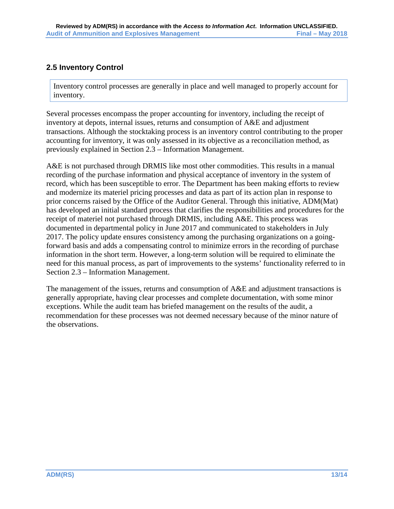# <span id="page-18-0"></span>**2.5 Inventory Control**

Inventory control processes are generally in place and well managed to properly account for inventory.

Several processes encompass the proper accounting for inventory, including the receipt of inventory at depots, internal issues, returns and consumption of A&E and adjustment transactions. Although the stocktaking process is an inventory control contributing to the proper accounting for inventory, it was only assessed in its objective as a reconciliation method, as previously explained in Section 2.3 – Information Management.

A&E is not purchased through DRMIS like most other commodities. This results in a manual recording of the purchase information and physical acceptance of inventory in the system of record, which has been susceptible to error. The Department has been making efforts to review and modernize its materiel pricing processes and data as part of its action plan in response to prior concerns raised by the Office of the Auditor General. Through this initiative, ADM(Mat) has developed an initial standard process that clarifies the responsibilities and procedures for the receipt of materiel not purchased through DRMIS, including A&E. This process was documented in departmental policy in June 2017 and communicated to stakeholders in July 2017. The policy update ensures consistency among the purchasing organizations on a goingforward basis and adds a compensating control to minimize errors in the recording of purchase information in the short term. However, a long-term solution will be required to eliminate the need for this manual process, as part of improvements to the systems' functionality referred to in Section 2.3 – Information Management.

The management of the issues, returns and consumption of A&E and adjustment transactions is generally appropriate, having clear processes and complete documentation, with some minor exceptions. While the audit team has briefed management on the results of the audit, a recommendation for these processes was not deemed necessary because of the minor nature of the observations.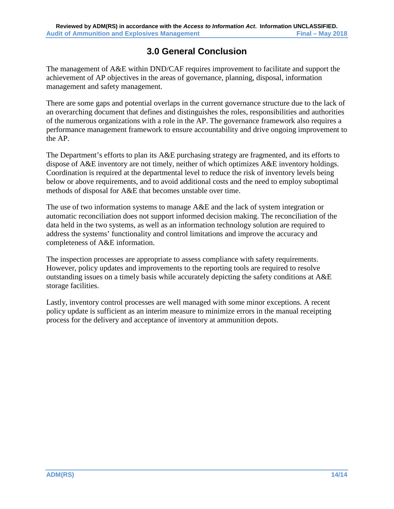# **3.0 General Conclusion**

<span id="page-19-0"></span>The management of A&E within DND/CAF requires improvement to facilitate and support the achievement of AP objectives in the areas of governance, planning, disposal, information management and safety management.

There are some gaps and potential overlaps in the current governance structure due to the lack of an overarching document that defines and distinguishes the roles, responsibilities and authorities of the numerous organizations with a role in the AP. The governance framework also requires a performance management framework to ensure accountability and drive ongoing improvement to the AP.

The Department's efforts to plan its A&E purchasing strategy are fragmented, and its efforts to dispose of A&E inventory are not timely, neither of which optimizes A&E inventory holdings. Coordination is required at the departmental level to reduce the risk of inventory levels being below or above requirements, and to avoid additional costs and the need to employ suboptimal methods of disposal for A&E that becomes unstable over time.

The use of two information systems to manage A&E and the lack of system integration or automatic reconciliation does not support informed decision making. The reconciliation of the data held in the two systems, as well as an information technology solution are required to address the systems' functionality and control limitations and improve the accuracy and completeness of A&E information.

The inspection processes are appropriate to assess compliance with safety requirements. However, policy updates and improvements to the reporting tools are required to resolve outstanding issues on a timely basis while accurately depicting the safety conditions at A&E storage facilities.

Lastly, inventory control processes are well managed with some minor exceptions. A recent policy update is sufficient as an interim measure to minimize errors in the manual receipting process for the delivery and acceptance of inventory at ammunition depots.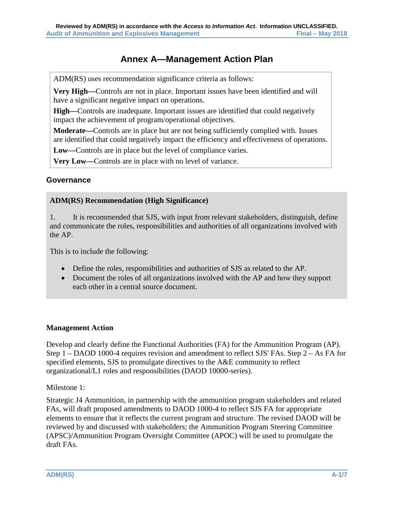# **Annex A—Management Action Plan**

<span id="page-20-0"></span>ADM(RS) uses recommendation significance criteria as follows:

**Very High—**Controls are not in place. Important issues have been identified and will have a significant negative impact on operations.

**High—**Controls are inadequate. Important issues are identified that could negatively impact the achievement of program/operational objectives.

**Moderate—**Controls are in place but are not being sufficiently complied with. Issues are identified that could negatively impact the efficiency and effectiveness of operations.

**Low—**Controls are in place but the level of compliance varies.

**Very Low—**Controls are in place with no level of variance.

### **Governance**

### **ADM(RS) Recommendation (High Significance)**

1. It is recommended that SJS, with input from relevant stakeholders, distinguish, define and communicate the roles, responsibilities and authorities of all organizations involved with the AP.

This is to include the following:

- Define the roles, responsibilities and authorities of SJS as related to the AP.
- Document the roles of all organizations involved with the AP and how they support each other in a central source document.

### **Management Action**

Develop and clearly define the Functional Authorities (FA) for the Ammunition Program (AP). Step 1 – DAOD 1000-4 requires revision and amendment to reflect SJS' FAs. Step 2 – As FA for specified elements, SJS to promulgate directives to the A&E community to reflect organizational/L1 roles and responsibilities (DAOD 10000-series).

Milestone 1:

Strategic J4 Ammunition, in partnership with the ammunition program stakeholders and related FAs, will draft proposed amendments to DAOD 1000-4 to reflect SJS FA for appropriate elements to ensure that it reflects the current program and structure. The revised DAOD will be reviewed by and discussed with stakeholders; the Ammunition Program Steering Committee (APSC)/Ammunition Program Oversight Committee (APOC) will be used to promulgate the draft FAs.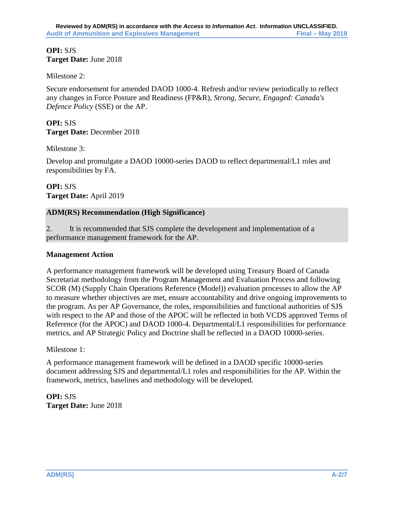### **OPI:** SJS **Target Date:** June 2018

Milestone 2:

Secure endorsement for amended DAOD 1000-4. Refresh and/or review periodically to reflect any changes in Force Posture and Readiness (FP&R), *Strong, Secure, Engaged: Canada's Defence Policy* (SSE) or the AP.

#### **OPI:** SJS **Target Date:** December 2018

Milestone 3:

Develop and promulgate a DAOD 10000-series DAOD to reflect departmental/L1 roles and responsibilities by FA.

**OPI:** SJS **Target Date:** April 2019

### **ADM(RS) Recommendation (High Significance)**

2. It is recommended that SJS complete the development and implementation of a performance management framework for the AP.

### **Management Action**

A performance management framework will be developed using Treasury Board of Canada Secretariat methodology from the Program Management and Evaluation Process and following SCOR (M) (Supply Chain Operations Reference (Model)) evaluation processes to allow the AP to measure whether objectives are met, ensure accountability and drive ongoing improvements to the program. As per AP Governance, the roles, responsibilities and functional authorities of SJS with respect to the AP and those of the APOC will be reflected in both VCDS approved Terms of Reference (for the APOC) and DAOD 1000-4. Departmental/L1 responsibilities for performance metrics, and AP Strategic Policy and Doctrine shall be reflected in a DAOD 10000-series.

### Milestone 1:

A performance management framework will be defined in a DAOD specific 10000-series document addressing SJS and departmental/L1 roles and responsibilities for the AP. Within the framework, metrics, baselines and methodology will be developed.

**OPI:** SJS **Target Date:** June 2018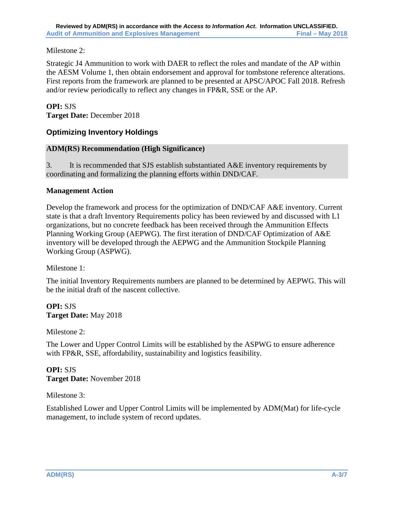Milestone 2:

Strategic J4 Ammunition to work with DAER to reflect the roles and mandate of the AP within the AESM Volume 1, then obtain endorsement and approval for tombstone reference alterations. First reports from the framework are planned to be presented at APSC/APOC Fall 2018. Refresh and/or review periodically to reflect any changes in FP&R, SSE or the AP.

### **OPI:** SJS

**Target Date:** December 2018

## **Optimizing Inventory Holdings**

### **ADM(RS) Recommendation (High Significance)**

3. It is recommended that SJS establish substantiated A&E inventory requirements by coordinating and formalizing the planning efforts within DND/CAF.

### **Management Action**

Develop the framework and process for the optimization of DND/CAF A&E inventory. Current state is that a draft Inventory Requirements policy has been reviewed by and discussed with L1 organizations, but no concrete feedback has been received through the Ammunition Effects Planning Working Group (AEPWG). The first iteration of DND/CAF Optimization of A&E inventory will be developed through the AEPWG and the Ammunition Stockpile Planning Working Group (ASPWG).

Milestone 1:

The initial Inventory Requirements numbers are planned to be determined by AEPWG. This will be the initial draft of the nascent collective.

## **OPI:** SJS **Target Date:** May 2018

Milestone 2:

The Lower and Upper Control Limits will be established by the ASPWG to ensure adherence with FP&R, SSE, affordability, sustainability and logistics feasibility.

**OPI:** SJS **Target Date:** November 2018

Milestone 3:

Established Lower and Upper Control Limits will be implemented by ADM(Mat) for life-cycle management, to include system of record updates.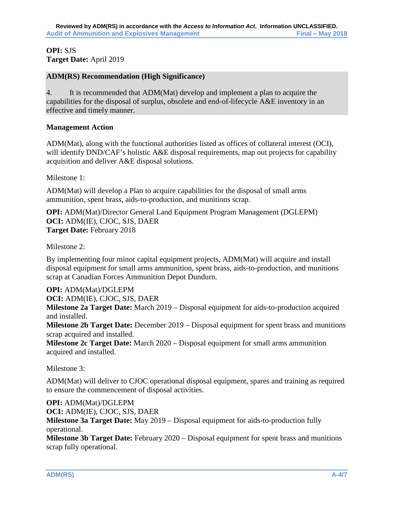### **OPI:** SJS **Target Date:** April 2019

### **ADM(RS) Recommendation (High Significance)**

4. It is recommended that ADM(Mat) develop and implement a plan to acquire the capabilities for the disposal of surplus, obsolete and end-of-lifecycle A&E inventory in an effective and timely manner.

### **Management Action**

ADM(Mat), along with the functional authorities listed as offices of collateral interest (OCI), will identify DND/CAF's holistic A&E disposal requirements, map out projects for capability acquisition and deliver A&E disposal solutions.

Milestone 1:

ADM(Mat) will develop a Plan to acquire capabilities for the disposal of small arms ammunition, spent brass, aids-to-production, and munitions scrap.

**OPI:** ADM(Mat)/Director General Land Equipment Program Management (DGLEPM) **OCI:** ADM(IE), CJOC, SJS, DAER **Target Date:** February 2018

Milestone 2:

By implementing four minor capital equipment projects, ADM(Mat) will acquire and install disposal equipment for small arms ammunition, spent brass, aids-to-production, and munitions scrap at Canadian Forces Ammunition Depot Dundurn.

**OPI:** ADM(Mat)/DGLEPM

**OCI:** ADM(IE), CJOC, SJS, DAER

**Milestone 2a Target Date:** March 2019 – Disposal equipment for aids-to-production acquired and installed.

**Milestone 2b Target Date:** December 2019 – Disposal equipment for spent brass and munitions scrap acquired and installed.

**Milestone 2c Target Date:** March 2020 – Disposal equipment for small arms ammunition acquired and installed.

Milestone 3:

ADM(Mat) will deliver to CJOC operational disposal equipment, spares and training as required to ensure the commencement of disposal activities.

**OPI:** ADM(Mat)/DGLEPM **OCI:** ADM(IE), CJOC, SJS, DAER **Milestone 3a Target Date:** May 2019 – Disposal equipment for aids-to-production fully operational.

**Milestone 3b Target Date:** February 2020 – Disposal equipment for spent brass and munitions scrap fully operational.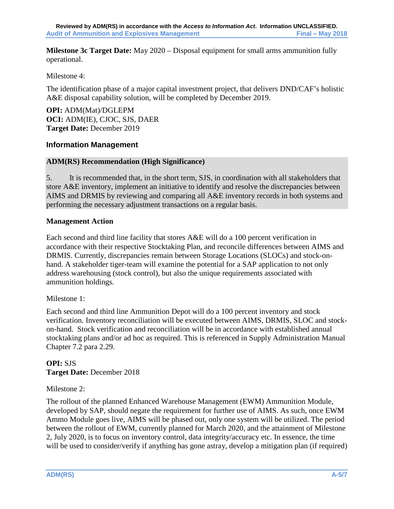**Milestone 3c Target Date:** May 2020 – Disposal equipment for small arms ammunition fully operational.

Milestone 4:

The identification phase of a major capital investment project, that delivers DND/CAF's holistic A&E disposal capability solution, will be completed by December 2019.

**OPI:** ADM(Mat)/DGLEPM **OCI:** ADM(IE), CJOC, SJS, DAER **Target Date:** December 2019

### **Information Management**

### **ADM(RS) Recommendation (High Significance)**

5. It is recommended that, in the short term, SJS, in coordination with all stakeholders that store A&E inventory, implement an initiative to identify and resolve the discrepancies between AIMS and DRMIS by reviewing and comparing all A&E inventory records in both systems and performing the necessary adjustment transactions on a regular basis.

### **Management Action**

Each second and third line facility that stores A&E will do a 100 percent verification in accordance with their respective Stocktaking Plan, and reconcile differences between AIMS and DRMIS. Currently, discrepancies remain between Storage Locations (SLOCs) and stock-onhand. A stakeholder tiger-team will examine the potential for a SAP application to not only address warehousing (stock control), but also the unique requirements associated with ammunition holdings.

### Milestone 1:

Each second and third line Ammunition Depot will do a 100 percent inventory and stock verification. Inventory reconciliation will be executed between AIMS, DRMIS, SLOC and stockon-hand. Stock verification and reconciliation will be in accordance with established annual stocktaking plans and/or ad hoc as required. This is referenced in Supply Administration Manual Chapter 7.2 para 2.29.

# **OPI:** SJS **Target Date:** December 2018

### Milestone 2:

The rollout of the planned Enhanced Warehouse Management (EWM) Ammunition Module, developed by SAP, should negate the requirement for further use of AIMS. As such, once EWM Ammo Module goes live, AIMS will be phased out, only one system will be utilized. The period between the rollout of EWM, currently planned for March 2020, and the attainment of Milestone 2, July 2020, is to focus on inventory control, data integrity/accuracy etc. In essence, the time will be used to consider/verify if anything has gone astray, develop a mitigation plan (if required)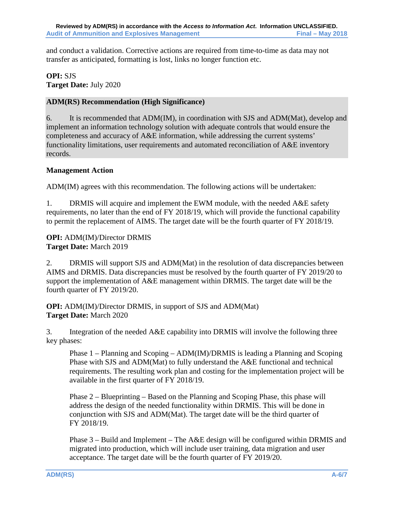and conduct a validation. Corrective actions are required from time-to-time as data may not transfer as anticipated, formatting is lost, links no longer function etc.

**OPI:** SJS **Target Date:** July 2020

### **ADM(RS) Recommendation (High Significance)**

6. It is recommended that ADM(IM), in coordination with SJS and ADM(Mat), develop and implement an information technology solution with adequate controls that would ensure the completeness and accuracy of A&E information, while addressing the current systems' functionality limitations, user requirements and automated reconciliation of A&E inventory records.

### **Management Action**

ADM(IM) agrees with this recommendation. The following actions will be undertaken:

1. DRMIS will acquire and implement the EWM module, with the needed A&E safety requirements, no later than the end of FY 2018/19, which will provide the functional capability to permit the replacement of AIMS. The target date will be the fourth quarter of FY 2018/19.

### **OPI:** ADM(IM)/Director DRMIS **Target Date:** March 2019

2. DRMIS will support SJS and ADM(Mat) in the resolution of data discrepancies between AIMS and DRMIS. Data discrepancies must be resolved by the fourth quarter of FY 2019/20 to support the implementation of A&E management within DRMIS. The target date will be the fourth quarter of FY 2019/20.

**OPI:** ADM(IM)/Director DRMIS, in support of SJS and ADM(Mat) **Target Date:** March 2020

3. Integration of the needed A&E capability into DRMIS will involve the following three key phases:

Phase 1 – Planning and Scoping – ADM(IM)/DRMIS is leading a Planning and Scoping Phase with SJS and ADM(Mat) to fully understand the A&E functional and technical requirements. The resulting work plan and costing for the implementation project will be available in the first quarter of FY 2018/19.

Phase 2 – Blueprinting – Based on the Planning and Scoping Phase, this phase will address the design of the needed functionality within DRMIS. This will be done in conjunction with SJS and ADM(Mat). The target date will be the third quarter of FY 2018/19.

Phase 3 – Build and Implement – The A&E design will be configured within DRMIS and migrated into production, which will include user training, data migration and user acceptance. The target date will be the fourth quarter of FY 2019/20.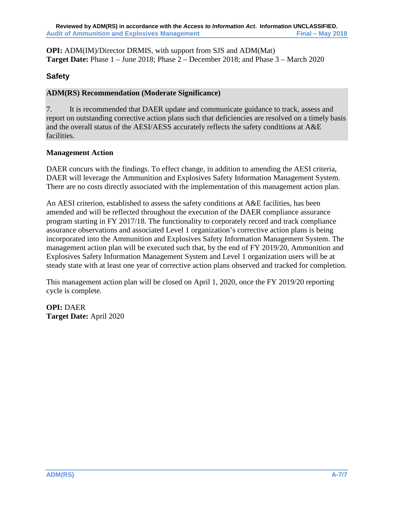**OPI:** ADM(IM)/Director DRMIS, with support from SJS and ADM(Mat) **Target Date:** Phase 1 – June 2018; Phase 2 – December 2018; and Phase 3 – March 2020

# **Safety**

## **ADM(RS) Recommendation (Moderate Significance)**

7. It is recommended that DAER update and communicate guidance to track, assess and report on outstanding corrective action plans such that deficiencies are resolved on a timely basis and the overall status of the AESI/AESS accurately reflects the safety conditions at A&E facilities.

# **Management Action**

DAER concurs with the findings. To effect change, in addition to amending the AESI criteria, DAER will leverage the Ammunition and Explosives Safety Information Management System. There are no costs directly associated with the implementation of this management action plan.

An AESI criterion, established to assess the safety conditions at A&E facilities, has been amended and will be reflected throughout the execution of the DAER compliance assurance program starting in FY 2017/18. The functionality to corporately record and track compliance assurance observations and associated Level 1 organization's corrective action plans is being incorporated into the Ammunition and Explosives Safety Information Management System. The management action plan will be executed such that, by the end of FY 2019/20, Ammunition and Explosives Safety Information Management System and Level 1 organization users will be at steady state with at least one year of corrective action plans observed and tracked for completion.

This management action plan will be closed on April 1, 2020, once the FY 2019/20 reporting cycle is complete.

**OPI:** DAER **Target Date:** April 2020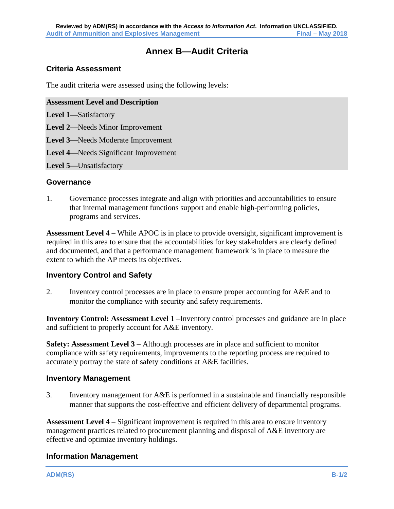# **Annex B—Audit Criteria**

### <span id="page-27-0"></span>**Criteria Assessment**

The audit criteria were assessed using the following levels:

#### **Assessment Level and Description**

- **Level 1—**Satisfactory
- **Level 2—**Needs Minor Improvement
- **Level 3—**Needs Moderate Improvement
- **Level 4—**Needs Significant Improvement
- **Level 5—**Unsatisfactory

#### **Governance**

1. Governance processes integrate and align with priorities and accountabilities to ensure that internal management functions support and enable high-performing policies, programs and services.

**Assessment Level 4 –** While APOC is in place to provide oversight, significant improvement is required in this area to ensure that the accountabilities for key stakeholders are clearly defined and documented, and that a performance management framework is in place to measure the extent to which the AP meets its objectives.

### **Inventory Control and Safety**

2. Inventory control processes are in place to ensure proper accounting for A&E and to monitor the compliance with security and safety requirements.

**Inventory Control: Assessment Level 1** –Inventory control processes and guidance are in place and sufficient to properly account for A&E inventory.

**Safety: Assessment Level 3** – Although processes are in place and sufficient to monitor compliance with safety requirements, improvements to the reporting process are required to accurately portray the state of safety conditions at A&E facilities.

### **Inventory Management**

3. Inventory management for A&E is performed in a sustainable and financially responsible manner that supports the cost-effective and efficient delivery of departmental programs.

**Assessment Level 4** – Significant improvement is required in this area to ensure inventory management practices related to procurement planning and disposal of A&E inventory are effective and optimize inventory holdings.

### **Information Management**

**ADM(RS) B-1/2**